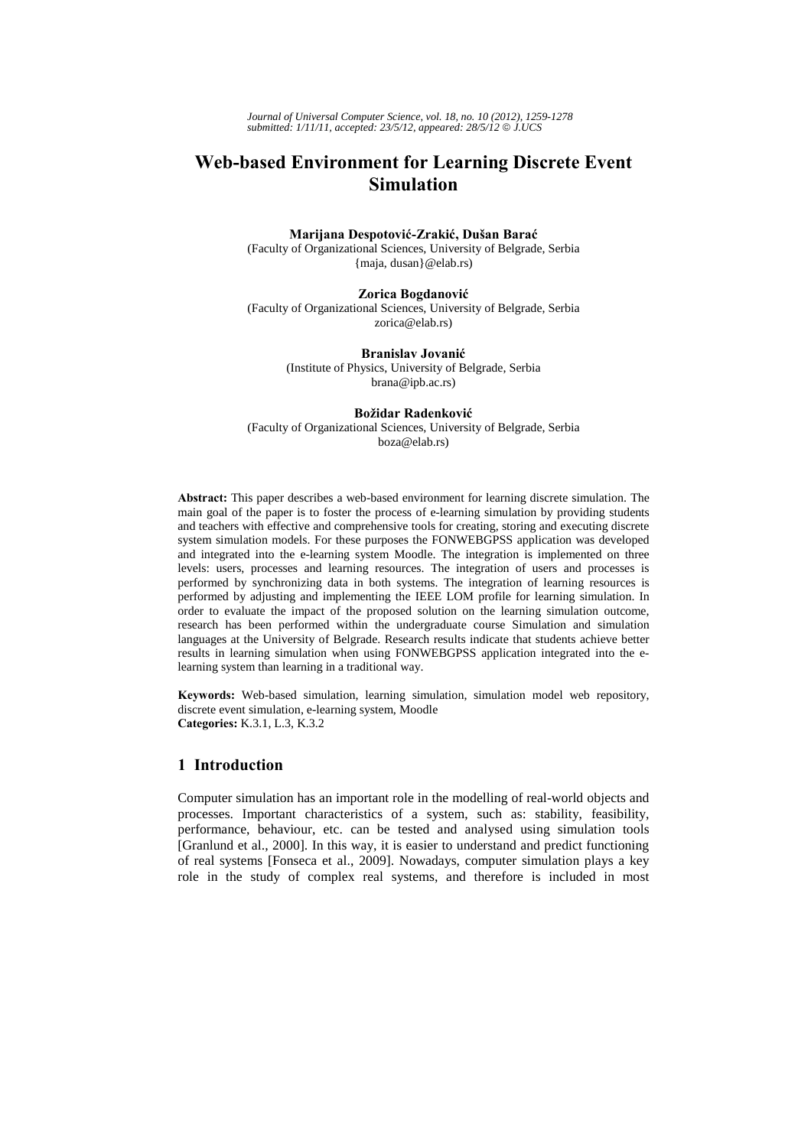*Journal of Universal Computer Science, vol. 18, no. 10 (2012), 1259-1278 submitted: 1/11/11, accepted: 23/5/12, appeared: 28/5/12* © *J.UCS*

# **Web-based Environment for Learning Discrete Event Simulation**

# **Marijana Despotović-Zrakić, Dušan Barać**

(Faculty of Organizational Sciences, University of Belgrade, Serbia {maja, dusan}@elab.rs)

### **Zorica Bogdanović**

(Faculty of Organizational Sciences, University of Belgrade, Serbia zorica@elab.rs)

### **Branislav Jovanić**

(Institute of Physics, University of Belgrade, Serbia brana@ipb.ac.rs)

#### **Božidar Radenković**

(Faculty of Organizational Sciences, University of Belgrade, Serbia boza@elab.rs)

**Abstract:** This paper describes a web-based environment for learning discrete simulation. The main goal of the paper is to foster the process of e-learning simulation by providing students and teachers with effective and comprehensive tools for creating, storing and executing discrete system simulation models. For these purposes the FONWEBGPSS application was developed and integrated into the e-learning system Moodle. The integration is implemented on three levels: users, processes and learning resources. The integration of users and processes is performed by synchronizing data in both systems. The integration of learning resources is performed by adjusting and implementing the IEEE LOM profile for learning simulation. In order to evaluate the impact of the proposed solution on the learning simulation outcome, research has been performed within the undergraduate course Simulation and simulation languages at the University of Belgrade. Research results indicate that students achieve better results in learning simulation when using FONWEBGPSS application integrated into the elearning system than learning in a traditional way.

**Keywords:** Web-based simulation, learning simulation, simulation model web repository, discrete event simulation, e-learning system, Moodle **Categories:** K.3.1, L.3, K.3.2

### **1 Introduction**

Computer simulation has an important role in the modelling of real-world objects and processes. Important characteristics of a system, such as: stability, feasibility, performance, behaviour, etc. can be tested and analysed using simulation tools [Granlund et al., 2000]. In this way, it is easier to understand and predict functioning of real systems [Fonseca et al., 2009]. Nowadays, computer simulation plays a key role in the study of complex real systems, and therefore is included in most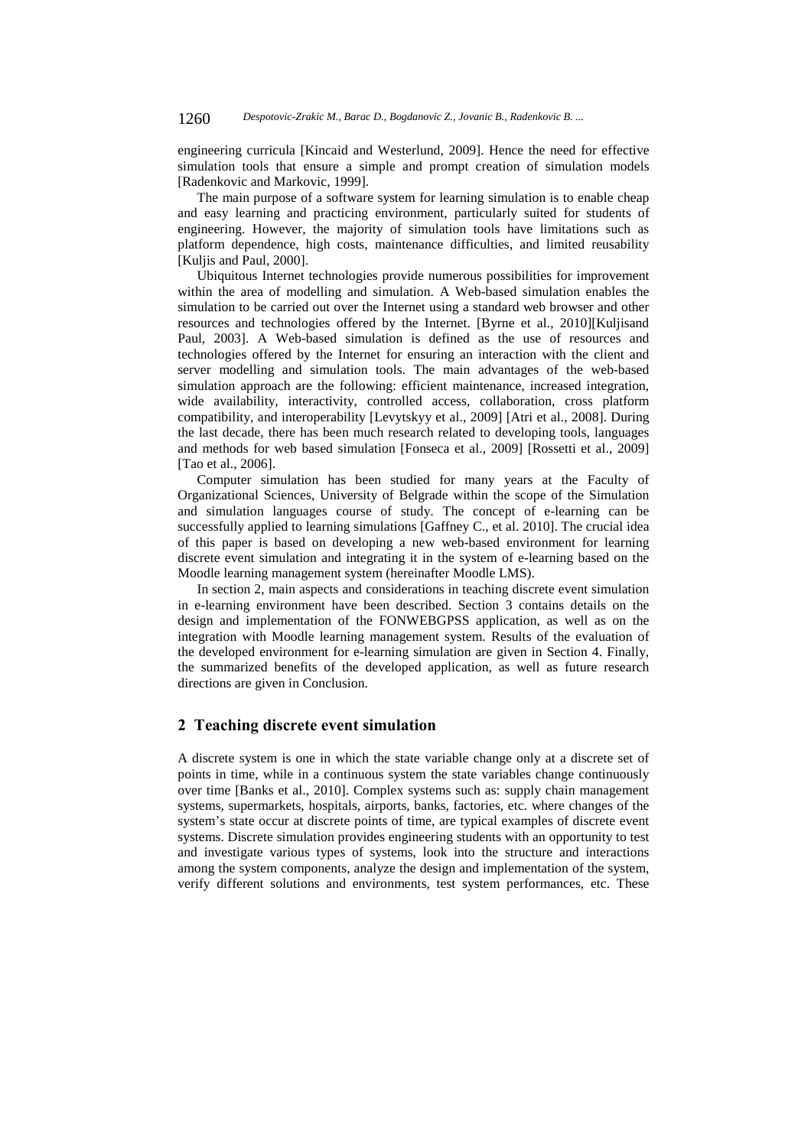engineering curricula [Kincaid and Westerlund, 2009]. Hence the need for effective simulation tools that ensure a simple and prompt creation of simulation models [Radenkovic and Markovic, 1999].

The main purpose of a software system for learning simulation is to enable cheap and easy learning and practicing environment, particularly suited for students of engineering. However, the majority of simulation tools have limitations such as platform dependence, high costs, maintenance difficulties, and limited reusability [Kuljis and Paul, 2000].

Ubiquitous Internet technologies provide numerous possibilities for improvement within the area of modelling and simulation. A Web-based simulation enables the simulation to be carried out over the Internet using a standard web browser and other resources and technologies offered by the Internet. [Byrne et al., 2010][Kuljisand Paul, 2003]. A Web-based simulation is defined as the use of resources and technologies offered by the Internet for ensuring an interaction with the client and server modelling and simulation tools. The main advantages of the web-based simulation approach are the following: efficient maintenance, increased integration, wide availability, interactivity, controlled access, collaboration, cross platform compatibility, and interoperability [Levytskyy et al., 2009] [Atri et al., 2008]. During the last decade, there has been much research related to developing tools, languages and methods for web based simulation [Fonseca et al., 2009] [Rossetti et al., 2009] [Tao et al., 2006].

Computer simulation has been studied for many years at the Faculty of Organizational Sciences, University of Belgrade within the scope of the Simulation and simulation languages course of study. The concept of e-learning can be successfully applied to learning simulations [Gaffney C., et al. 2010]. The crucial idea of this paper is based on developing a new web-based environment for learning discrete event simulation and integrating it in the system of e-learning based on the Moodle learning management system (hereinafter Moodle LMS).

In section 2, main aspects and considerations in teaching discrete event simulation in e-learning environment have been described. Section 3 contains details on the design and implementation of the FONWEBGPSS application, as well as on the integration with Moodle learning management system. Results of the evaluation of the developed environment for e-learning simulation are given in Section 4. Finally, the summarized benefits of the developed application, as well as future research directions are given in Conclusion.

# **2 Teaching discrete event simulation**

A discrete system is one in which the state variable change only at a discrete set of points in time, while in a continuous system the state variables change continuously over time [Banks et al., 2010]. Complex systems such as: supply chain management systems, supermarkets, hospitals, airports, banks, factories, etc. where changes of the system's state occur at discrete points of time, are typical examples of discrete event systems. Discrete simulation provides engineering students with an opportunity to test and investigate various types of systems, look into the structure and interactions among the system components, analyze the design and implementation of the system, verify different solutions and environments, test system performances, etc. These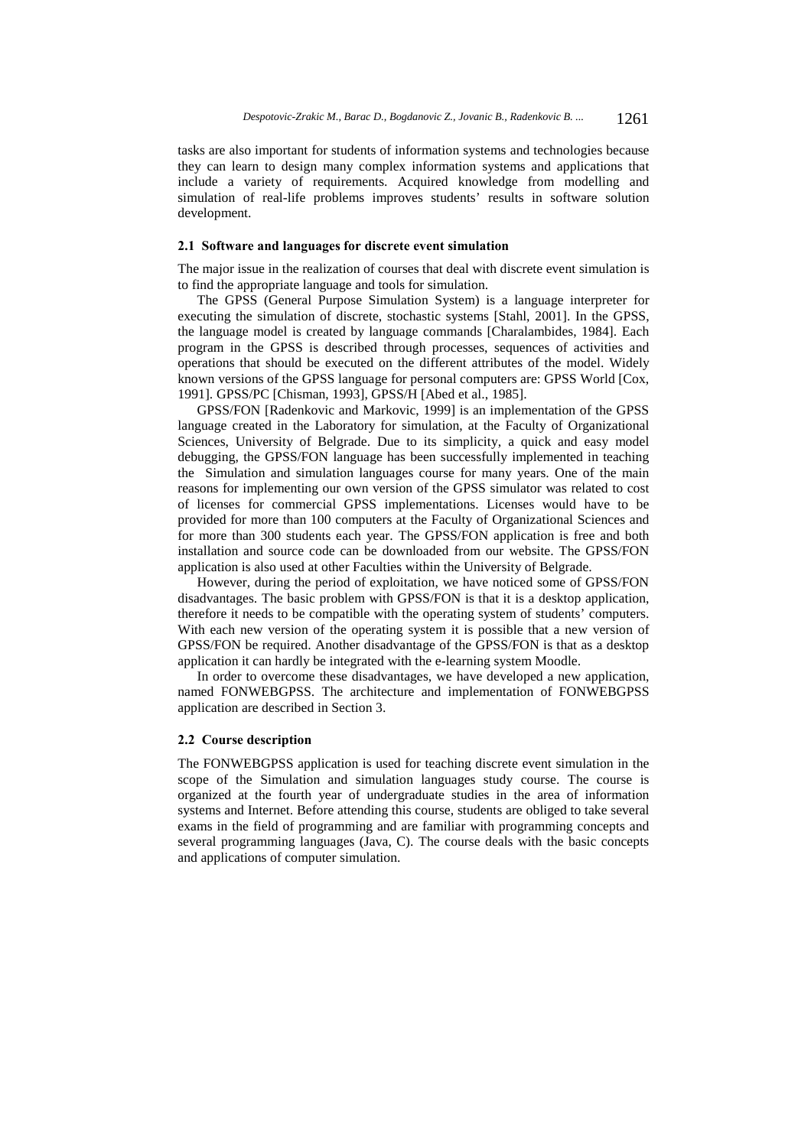tasks are also important for students of information systems and technologies because they can learn to design many complex information systems and applications that include a variety of requirements. Acquired knowledge from modelling and simulation of real-life problems improves students' results in software solution development.

# **2.1 Software and languages for discrete event simulation**

The major issue in the realization of courses that deal with discrete event simulation is to find the appropriate language and tools for simulation.

The GPSS (General Purpose Simulation System) is a language interpreter for executing the simulation of discrete, stochastic systems [Stahl, 2001]. In the GPSS, the language model is created by language commands [Charalambides, 1984]. Each program in the GPSS is described through processes, sequences of activities and operations that should be executed on the different attributes of the model. Widely known versions of the GPSS language for personal computers are: GPSS World [Cox, 1991]. GPSS/PC [Chisman, 1993], GPSS/H [Abed et al., 1985].

GPSS/FON [Radenkovic and Markovic, 1999] is an implementation of the GPSS language created in the Laboratory for simulation, at the Faculty of Organizational Sciences, University of Belgrade. Due to its simplicity, a quick and easy model debugging, the GPSS/FON language has been successfully implemented in teaching the Simulation and simulation languages course for many years. One of the main reasons for implementing our own version of the GPSS simulator was related to cost of licenses for commercial GPSS implementations. Licenses would have to be provided for more than 100 computers at the Faculty of Organizational Sciences and for more than 300 students each year. The GPSS/FON application is free and both installation and source code can be downloaded from our website. The GPSS/FON application is also used at other Faculties within the University of Belgrade.

However, during the period of exploitation, we have noticed some of GPSS/FON disadvantages. The basic problem with GPSS/FON is that it is a desktop application, therefore it needs to be compatible with the operating system of students' computers. With each new version of the operating system it is possible that a new version of GPSS/FON be required. Another disadvantage of the GPSS/FON is that as a desktop application it can hardly be integrated with the e-learning system Moodle.

In order to overcome these disadvantages, we have developed a new application, named FONWEBGPSS. The architecture and implementation of FONWEBGPSS application are described in Section 3.

### **2.2 Course description**

The FONWEBGPSS application is used for teaching discrete event simulation in the scope of the Simulation and simulation languages study course. The course is organized at the fourth year of undergraduate studies in the area of information systems and Internet. Before attending this course, students are obliged to take several exams in the field of programming and are familiar with programming concepts and several programming languages (Java, C). The course deals with the basic concepts and applications of computer simulation.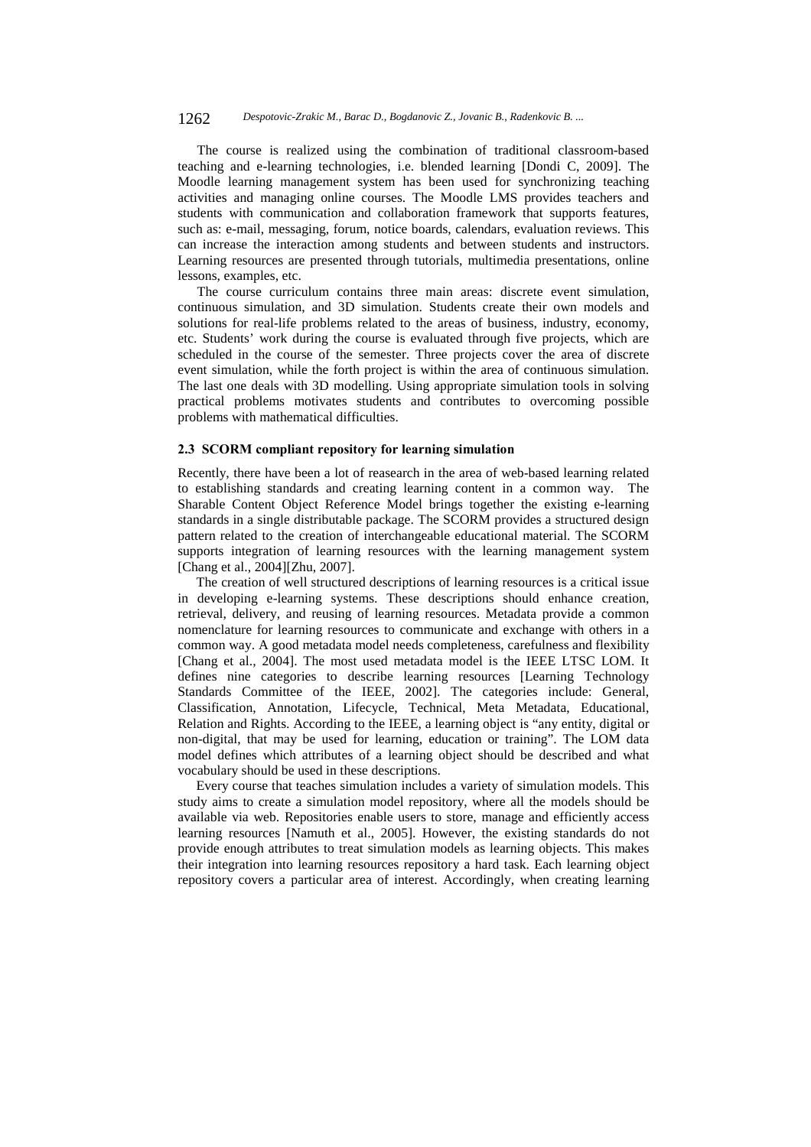#### 1262 *Despotovic-Zrakic M., Barac D., Bogdanovic Z., Jovanic B., Radenkovic B. ...*

The course is realized using the combination of traditional classroom-based teaching and e-learning technologies, i.e. blended learning [Dondi C, 2009]. The Moodle learning management system has been used for synchronizing teaching activities and managing online courses. The Moodle LMS provides teachers and students with communication and collaboration framework that supports features, such as: e-mail, messaging, forum, notice boards, calendars, evaluation reviews. This can increase the interaction among students and between students and instructors. Learning resources are presented through tutorials, multimedia presentations, online lessons, examples, etc.

The course curriculum contains three main areas: discrete event simulation, continuous simulation, and 3D simulation. Students create their own models and solutions for real-life problems related to the areas of business, industry, economy, etc. Students' work during the course is evaluated through five projects, which are scheduled in the course of the semester. Three projects cover the area of discrete event simulation, while the forth project is within the area of continuous simulation. The last one deals with 3D modelling. Using appropriate simulation tools in solving practical problems motivates students and contributes to overcoming possible problems with mathematical difficulties.

#### **2.3 SCORM compliant repository for learning simulation**

Recently, there have been a lot of reasearch in the area of web-based learning related to establishing standards and creating learning content in a common way. The Sharable Content Object Reference Model brings together the existing e-learning standards in a single distributable package. The SCORM provides a structured design pattern related to the creation of interchangeable educational material. The SCORM supports integration of learning resources with the learning management system [Chang et al., 2004][Zhu, 2007].

The creation of well structured descriptions of learning resources is a critical issue in developing e-learning systems. These descriptions should enhance creation, retrieval, delivery, and reusing of learning resources. Metadata provide a common nomenclature for learning resources to communicate and exchange with others in a common way. A good metadata model needs completeness, carefulness and flexibility [Chang et al., 2004]. The most used metadata model is the IEEE LTSC LOM. It defines nine categories to describe learning resources [Learning Technology Standards Committee of the IEEE, 2002]. The categories include: General, Classification, Annotation, Lifecycle, Technical, Meta Metadata, Educational, Relation and Rights. According to the IEEE, a learning object is "any entity, digital or non-digital, that may be used for learning, education or training". The LOM data model defines which attributes of a learning object should be described and what vocabulary should be used in these descriptions.

Every course that teaches simulation includes a variety of simulation models. This study aims to create a simulation model repository, where all the models should be available via web. Repositories enable users to store, manage and efficiently access learning resources [Namuth et al., 2005]. However, the existing standards do not provide enough attributes to treat simulation models as learning objects. This makes their integration into learning resources repository a hard task. Each learning object repository covers a particular area of interest. Accordingly, when creating learning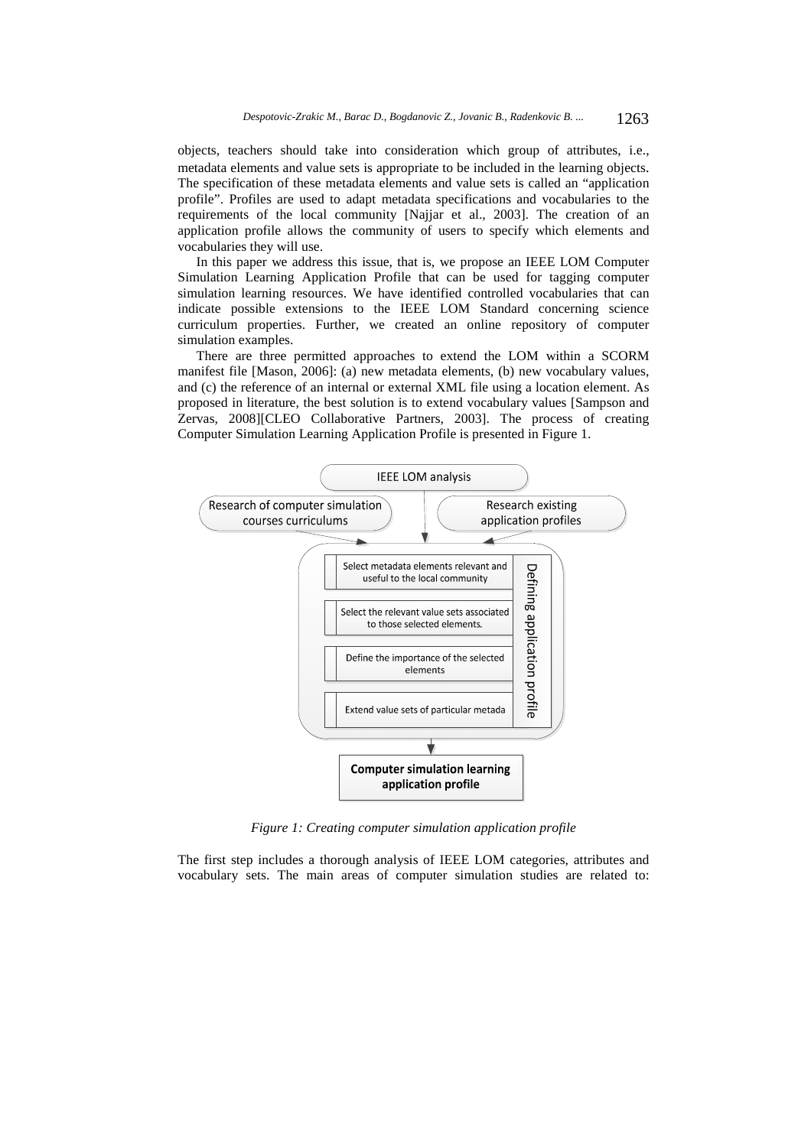objects, teachers should take into consideration which group of attributes, i.e., metadata elements and value sets is appropriate to be included in the learning objects. The specification of these metadata elements and value sets is called an "application profile". Profiles are used to adapt metadata specifications and vocabularies to the requirements of the local community [Najjar et al., 2003]. The creation of an application profile allows the community of users to specify which elements and vocabularies they will use.

In this paper we address this issue, that is, we propose an IEEE LOM Computer Simulation Learning Application Profile that can be used for tagging computer simulation learning resources. We have identified controlled vocabularies that can indicate possible extensions to the IEEE LOM Standard concerning science curriculum properties. Further, we created an online repository of computer simulation examples.

There are three permitted approaches to extend the LOM within a SCORM manifest file [Mason, 2006]: (a) new metadata elements, (b) new vocabulary values, and (c) the reference of an internal or external XML file using a location element. As proposed in literature, the best solution is to extend vocabulary values [Sampson and Zervas, 2008][CLEO Collaborative Partners, 2003]. The process of creating Computer Simulation Learning Application Profile is presented in Figure 1.



*Figure 1: Creating computer simulation application profile* 

The first step includes a thorough analysis of IEEE LOM categories, attributes and vocabulary sets. The main areas of computer simulation studies are related to: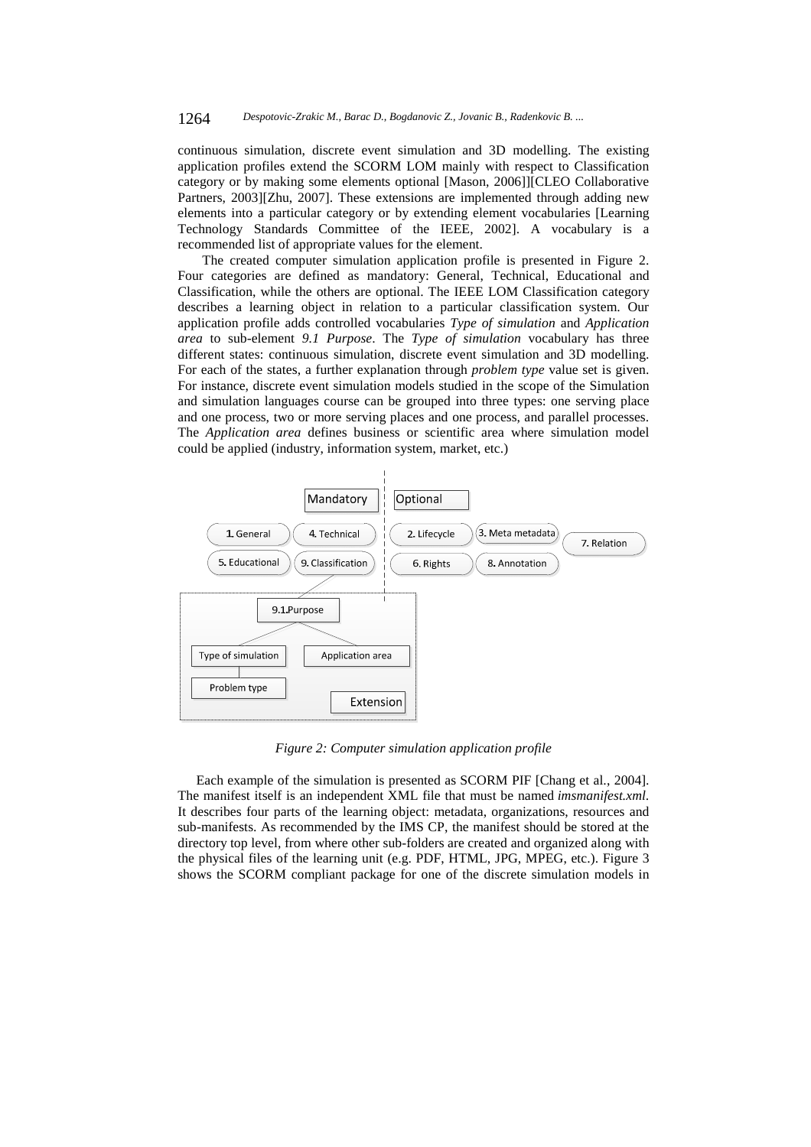continuous simulation, discrete event simulation and 3D modelling. The existing application profiles extend the SCORM LOM mainly with respect to Classification category or by making some elements optional [Mason, 2006]][CLEO Collaborative Partners, 2003][Zhu, 2007]. These extensions are implemented through adding new elements into a particular category or by extending element vocabularies [Learning Technology Standards Committee of the IEEE, 2002]. A vocabulary is a recommended list of appropriate values for the element.

The created computer simulation application profile is presented in Figure 2. Four categories are defined as mandatory: General, Technical, Educational and Classification, while the others are optional. The IEEE LOM Classification category describes a learning object in relation to a particular classification system. Our application profile adds controlled vocabularies *Type of simulation* and *Application area* to sub-element *9.1 Purpose*. The *Type of simulation* vocabulary has three different states: continuous simulation, discrete event simulation and 3D modelling. For each of the states, a further explanation through *problem type* value set is given. For instance, discrete event simulation models studied in the scope of the Simulation and simulation languages course can be grouped into three types: one serving place and one process, two or more serving places and one process, and parallel processes. The *Application area* defines business or scientific area where simulation model could be applied (industry, information system, market, etc.)



*Figure 2: Computer simulation application profile* 

Each example of the simulation is presented as SCORM PIF [Chang et al., 2004]. The manifest itself is an independent XML file that must be named *imsmanifest.xml*. It describes four parts of the learning object: metadata, organizations, resources and sub-manifests. As recommended by the IMS CP, the manifest should be stored at the directory top level, from where other sub-folders are created and organized along with the physical files of the learning unit (e.g. PDF, HTML, JPG, MPEG, etc.). Figure 3 shows the SCORM compliant package for one of the discrete simulation models in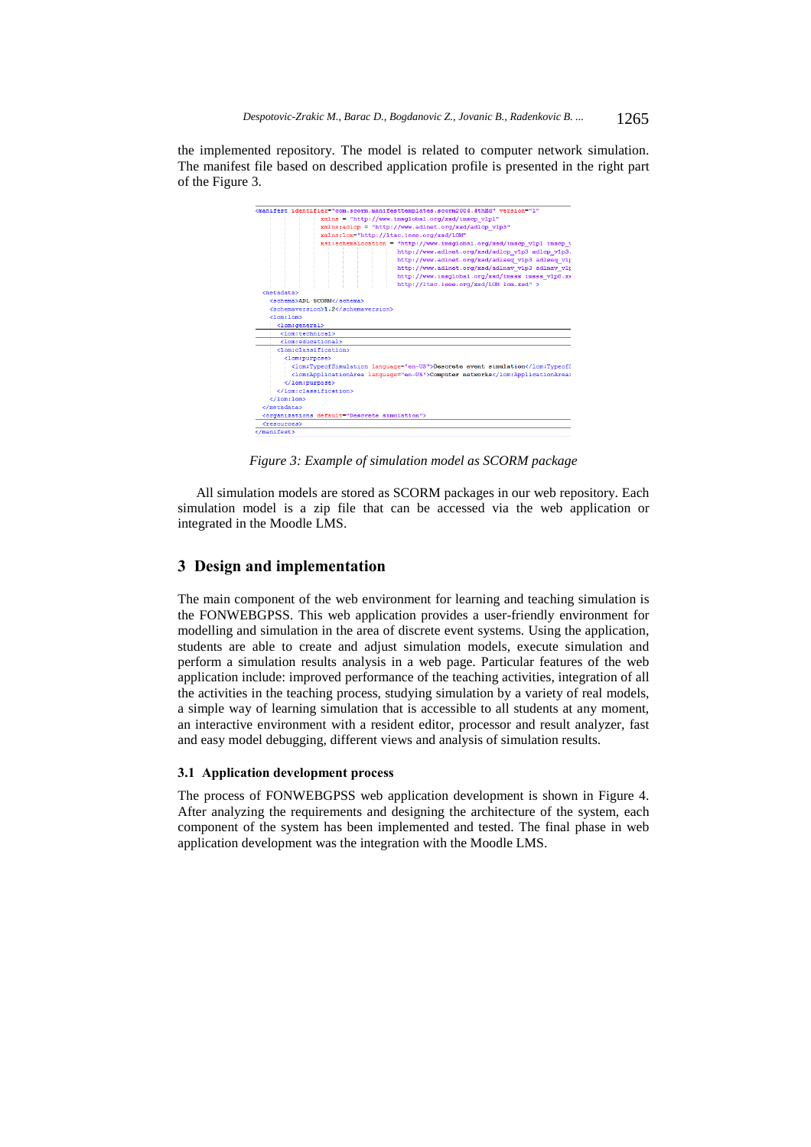the implemented repository. The model is related to computer network simulation. The manifest file based on described application profile is presented in the right part of the Figure 3.



*Figure 3: Example of simulation model as SCORM package* 

All simulation models are stored as SCORM packages in our web repository. Each simulation model is a zip file that can be accessed via the web application or integrated in the Moodle LMS.

### **3 Design and implementation**

The main component of the web environment for learning and teaching simulation is the FONWEBGPSS. This web application provides a user-friendly environment for modelling and simulation in the area of discrete event systems. Using the application, students are able to create and adjust simulation models, execute simulation and perform a simulation results analysis in a web page. Particular features of the web application include: improved performance of the teaching activities, integration of all the activities in the teaching process, studying simulation by a variety of real models, a simple way of learning simulation that is accessible to all students at any moment, an interactive environment with a resident editor, processor and result analyzer, fast and easy model debugging, different views and analysis of simulation results.

# **3.1 Application development process**

The process of FONWEBGPSS web application development is shown in Figure 4. After analyzing the requirements and designing the architecture of the system, each component of the system has been implemented and tested. The final phase in web application development was the integration with the Moodle LMS.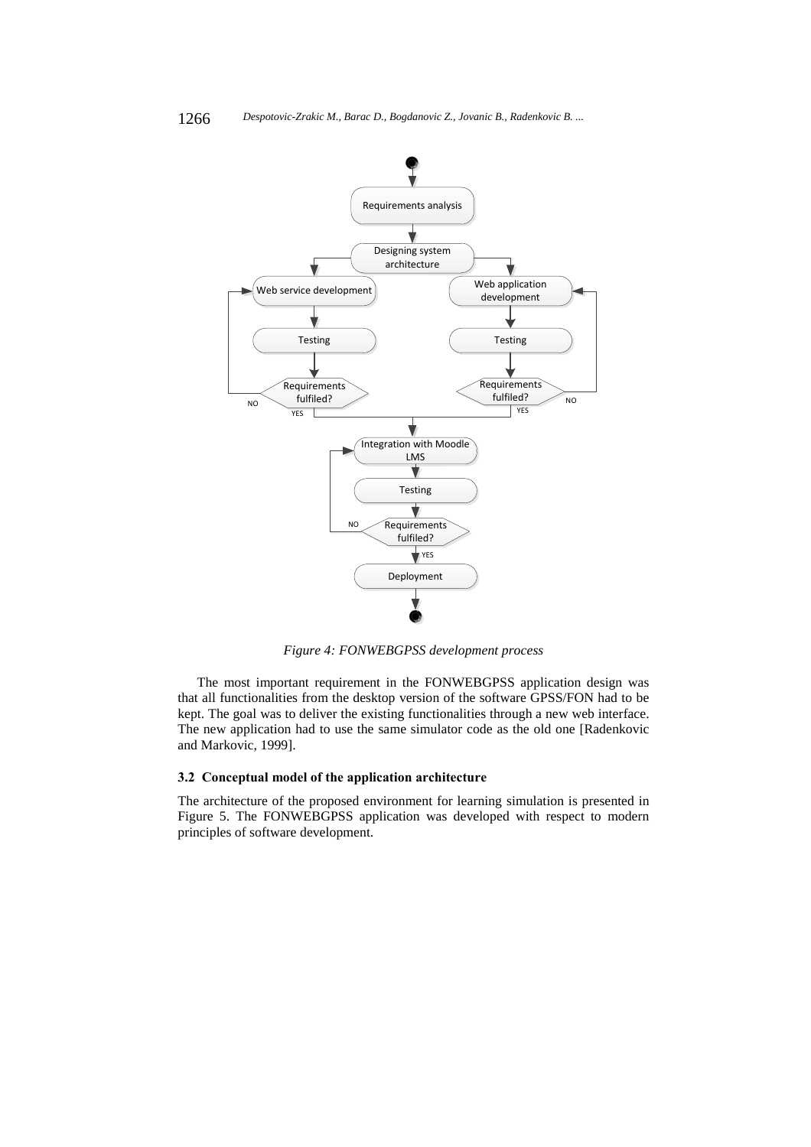

*Figure 4: FONWEBGPSS development process* 

The most important requirement in the FONWEBGPSS application design was that all functionalities from the desktop version of the software GPSS/FON had to be kept. The goal was to deliver the existing functionalities through a new web interface. The new application had to use the same simulator code as the old one [Radenkovic and Markovic, 1999].

# **3.2 Conceptual model of the application architecture**

The architecture of the proposed environment for learning simulation is presented in Figure 5. The FONWEBGPSS application was developed with respect to modern principles of software development.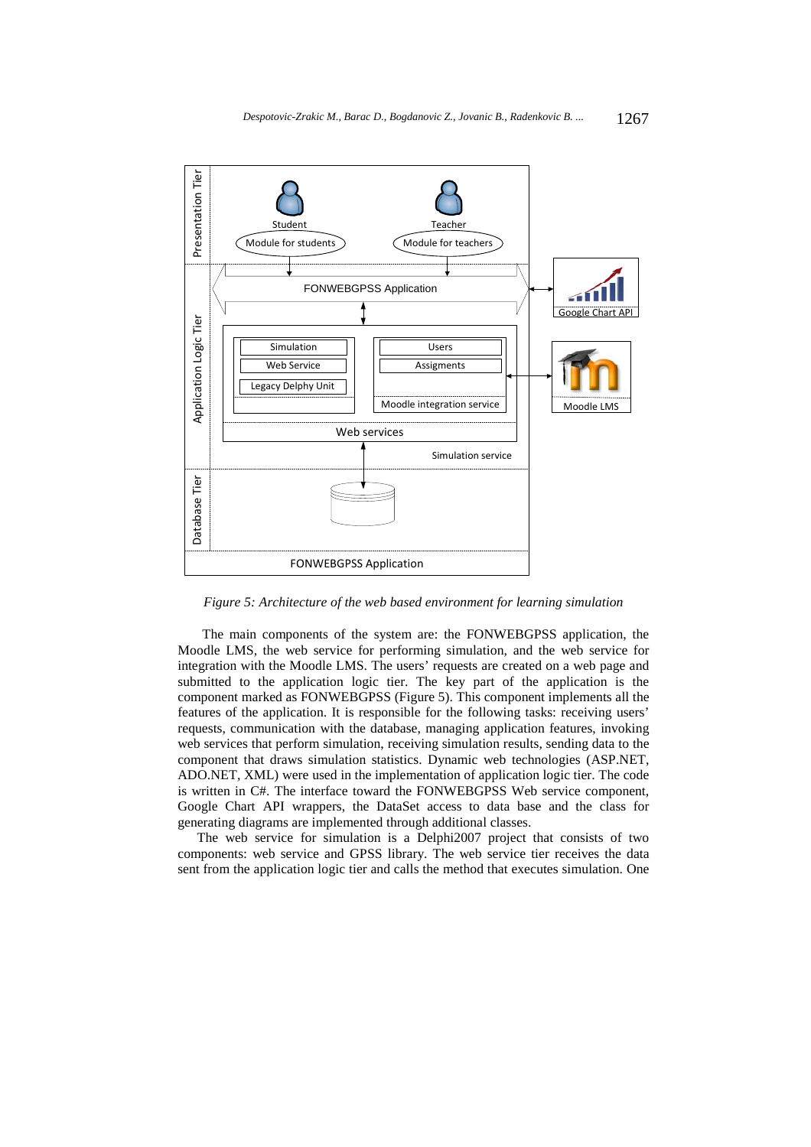

*Figure 5: Architecture of the web based environment for learning simulation* 

The main components of the system are: the FONWEBGPSS application, the Moodle LMS, the web service for performing simulation, and the web service for integration with the Moodle LMS. The users' requests are created on a web page and submitted to the application logic tier. The key part of the application is the component marked as FONWEBGPSS (Figure 5). This component implements all the features of the application. It is responsible for the following tasks: receiving users' requests, communication with the database, managing application features, invoking web services that perform simulation, receiving simulation results, sending data to the component that draws simulation statistics. Dynamic web technologies (ASP.NET, ADO.NET, XML) were used in the implementation of application logic tier. The code is written in C#. The interface toward the FONWEBGPSS Web service component, Google Chart API wrappers, the DataSet access to data base and the class for generating diagrams are implemented through additional classes.

The web service for simulation is a Delphi2007 project that consists of two components: web service and GPSS library. The web service tier receives the data sent from the application logic tier and calls the method that executes simulation. One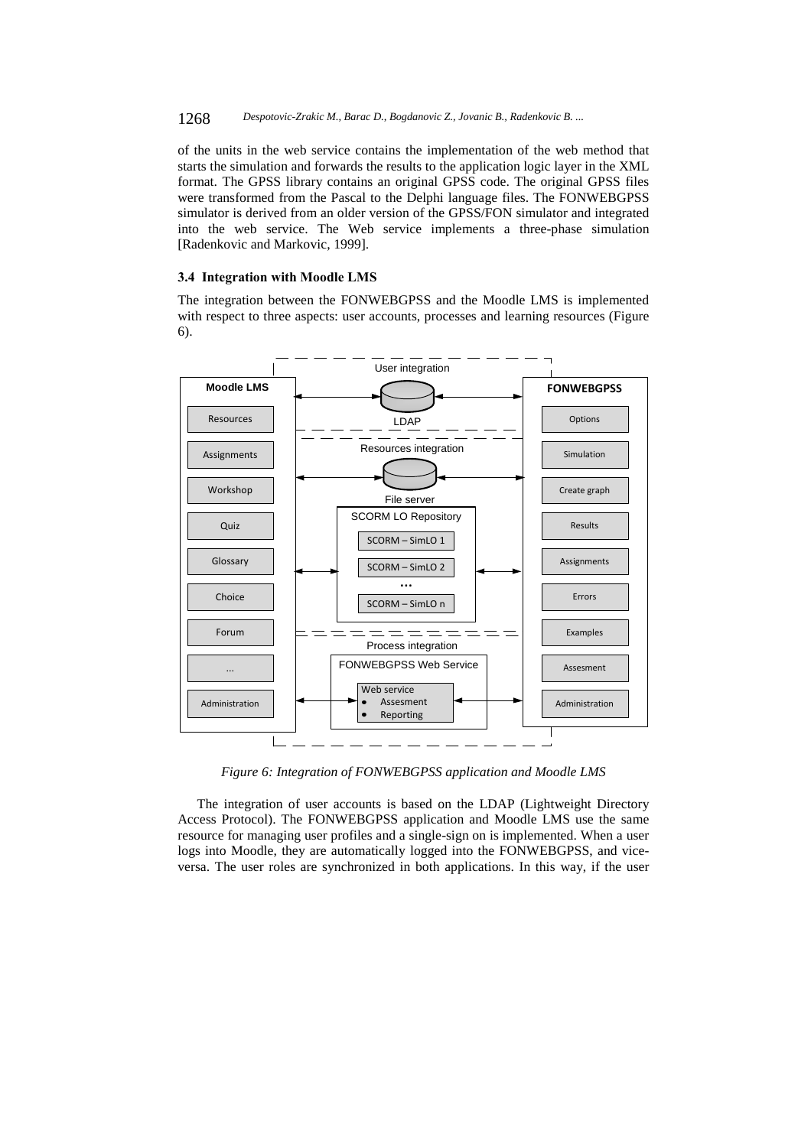### 1268 *Despotovic-Zrakic M., Barac D., Bogdanovic Z., Jovanic B., Radenkovic B. ...*

of the units in the web service contains the implementation of the web method that starts the simulation and forwards the results to the application logic layer in the XML format. The GPSS library contains an original GPSS code. The original GPSS files were transformed from the Pascal to the Delphi language files. The FONWEBGPSS simulator is derived from an older version of the GPSS/FON simulator and integrated into the web service. The Web service implements a three-phase simulation [Radenkovic and Markovic, 1999].

#### **3.4 Integration with Moodle LMS**

The integration between the FONWEBGPSS and the Moodle LMS is implemented with respect to three aspects: user accounts, processes and learning resources (Figure 6).



*Figure 6: Integration of FONWEBGPSS application and Moodle LMS* 

The integration of user accounts is based on the LDAP (Lightweight Directory Access Protocol). The FONWEBGPSS application and Moodle LMS use the same resource for managing user profiles and a single-sign on is implemented. When a user logs into Moodle, they are automatically logged into the FONWEBGPSS, and viceversa. The user roles are synchronized in both applications. In this way, if the user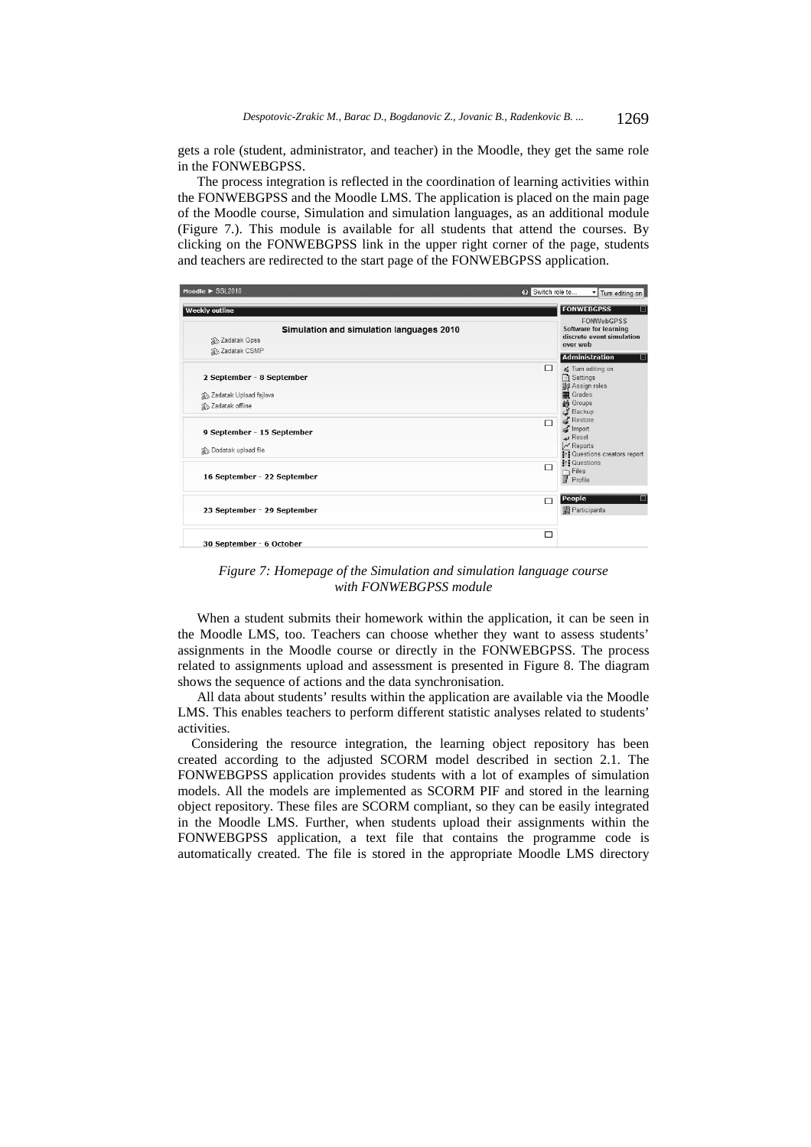gets a role (student, administrator, and teacher) in the Moodle, they get the same role in the FONWEBGPSS.

The process integration is reflected in the coordination of learning activities within the FONWEBGPSS and the Moodle LMS. The application is placed on the main page of the Moodle course, Simulation and simulation languages, as an additional module (Figure 7.). This module is available for all students that attend the courses. By clicking on the FONWEBGPSS link in the upper right corner of the page, students and teachers are redirected to the start page of the FONWEBGPSS application.



*Figure 7: Homepage of the Simulation and simulation language course with FONWEBGPSS module* 

When a student submits their homework within the application, it can be seen in the Moodle LMS, too. Teachers can choose whether they want to assess students' assignments in the Moodle course or directly in the FONWEBGPSS. The process related to assignments upload and assessment is presented in Figure 8. The diagram shows the sequence of actions and the data synchronisation.

All data about students' results within the application are available via the Moodle LMS. This enables teachers to perform different statistic analyses related to students' activities.

Considering the resource integration, the learning object repository has been created according to the adjusted SCORM model described in section 2.1. The FONWEBGPSS application provides students with a lot of examples of simulation models. All the models are implemented as SCORM PIF and stored in the learning object repository. These files are SCORM compliant, so they can be easily integrated in the Moodle LMS. Further, when students upload their assignments within the FONWEBGPSS application, a text file that contains the programme code is automatically created. The file is stored in the appropriate Moodle LMS directory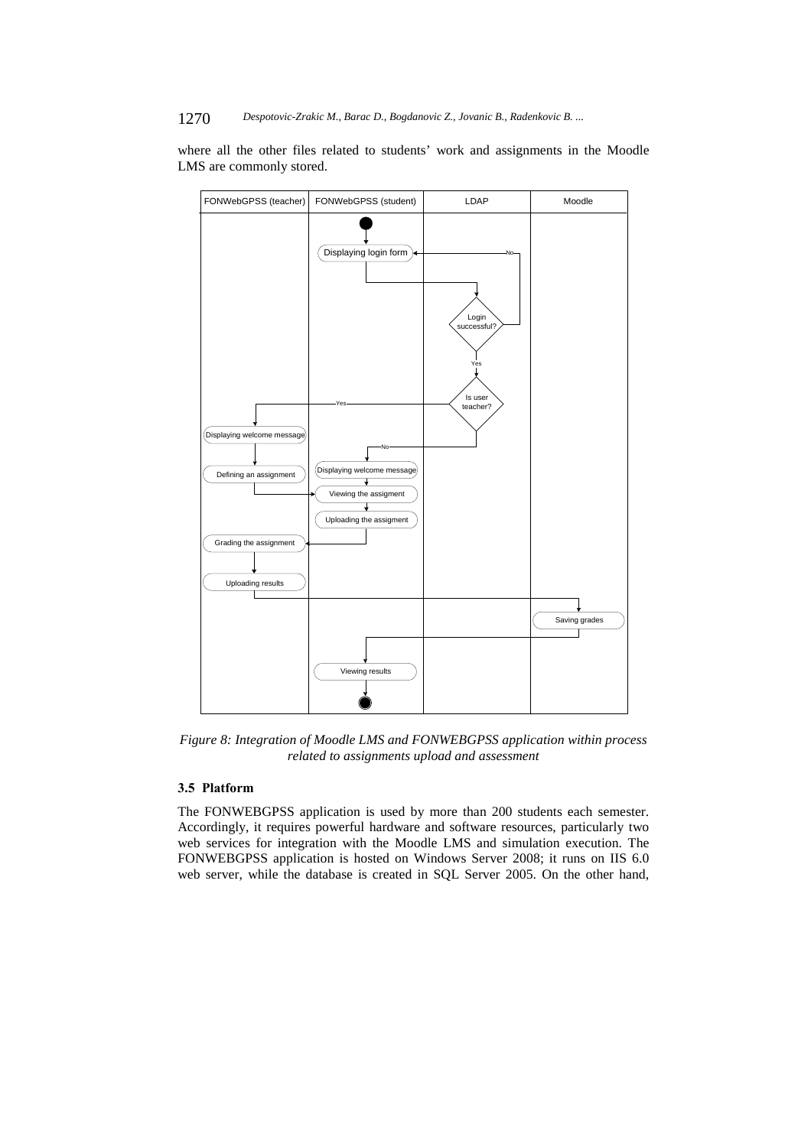where all the other files related to students' work and assignments in the Moodle LMS are commonly stored.



*Figure 8: Integration of Moodle LMS and FONWEBGPSS application within process related to assignments upload and assessment* 

# **3.5 Platform**

The FONWEBGPSS application is used by more than 200 students each semester. Accordingly, it requires powerful hardware and software resources, particularly two web services for integration with the Moodle LMS and simulation execution. The FONWEBGPSS application is hosted on Windows Server 2008; it runs on IIS 6.0 web server, while the database is created in SQL Server 2005. On the other hand,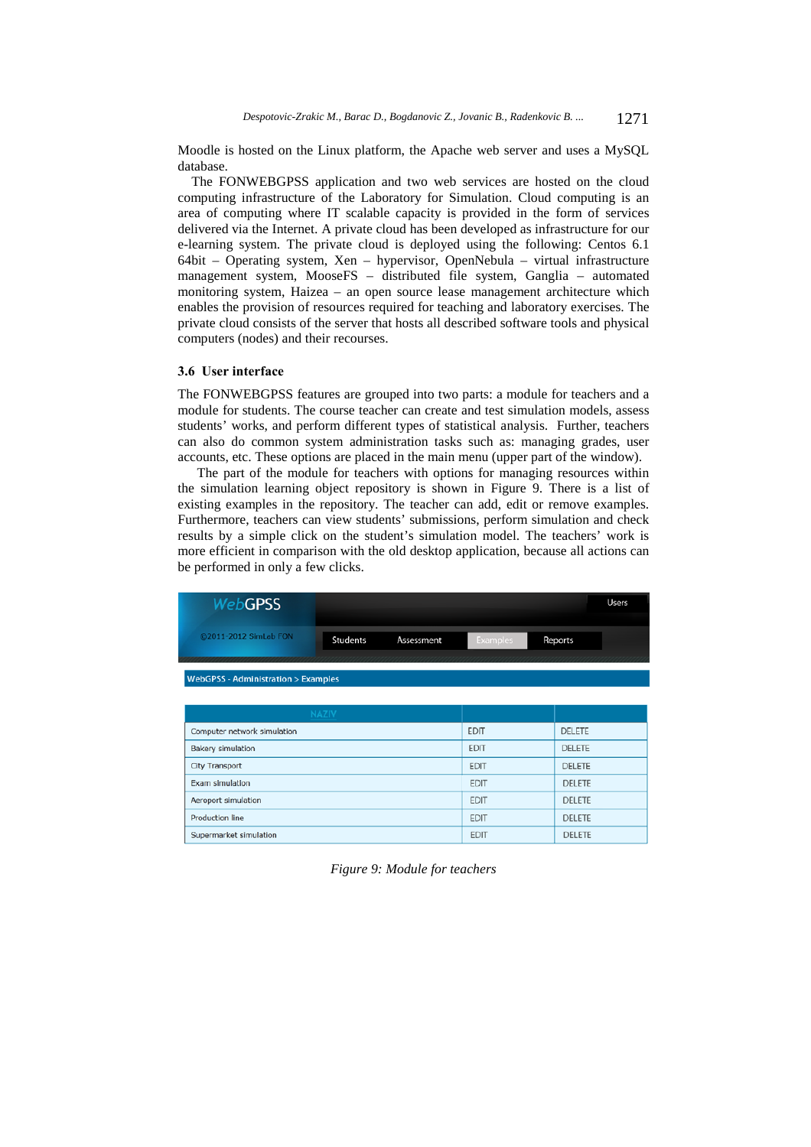Moodle is hosted on the Linux platform, the Apache web server and uses a MySQL database.

The FONWEBGPSS application and two web services are hosted on the cloud computing infrastructure of the Laboratory for Simulation. Cloud computing is an area of computing where IT scalable capacity is provided in the form of services delivered via the Internet. A private cloud has been developed as infrastructure for our e-learning system. The private cloud is deployed using the following: Centos 6.1 64bit – Operating system, Xen – hypervisor, OpenNebula – virtual infrastructure management system, MooseFS – distributed file system, Ganglia – automated monitoring system, Haizea – an open source lease management architecture which enables the provision of resources required for teaching and laboratory exercises. The private cloud consists of the server that hosts all described software tools and physical computers (nodes) and their recourses.

### **3.6 User interface**

The FONWEBGPSS features are grouped into two parts: a module for teachers and a module for students. The course teacher can create and test simulation models, assess students' works, and perform different types of statistical analysis. Further, teachers can also do common system administration tasks such as: managing grades, user accounts, etc. These options are placed in the main menu (upper part of the window).

The part of the module for teachers with options for managing resources within the simulation learning object repository is shown in Figure 9. There is a list of existing examples in the repository. The teacher can add, edit or remove examples. Furthermore, teachers can view students' submissions, perform simulation and check results by a simple click on the student's simulation model. The teachers' work is more efficient in comparison with the old desktop application, because all actions can be performed in only a few clicks.



| <b>NAZIV</b>                |             |               |
|-----------------------------|-------------|---------------|
| Computer network simulation | <b>EDIT</b> | <b>DELETE</b> |
| Bakery simulation           | <b>EDIT</b> | <b>DELETE</b> |
| <b>City Transport</b>       | <b>EDIT</b> | <b>DELETE</b> |
| Exam simulation             | <b>EDIT</b> | <b>DELETE</b> |
| Aeroport simulation         | <b>EDIT</b> | <b>DELETE</b> |
| Production line             | <b>EDIT</b> | <b>DELETE</b> |
| Supermarket simulation      | <b>EDIT</b> | <b>DELETE</b> |

*Figure 9: Module for teachers*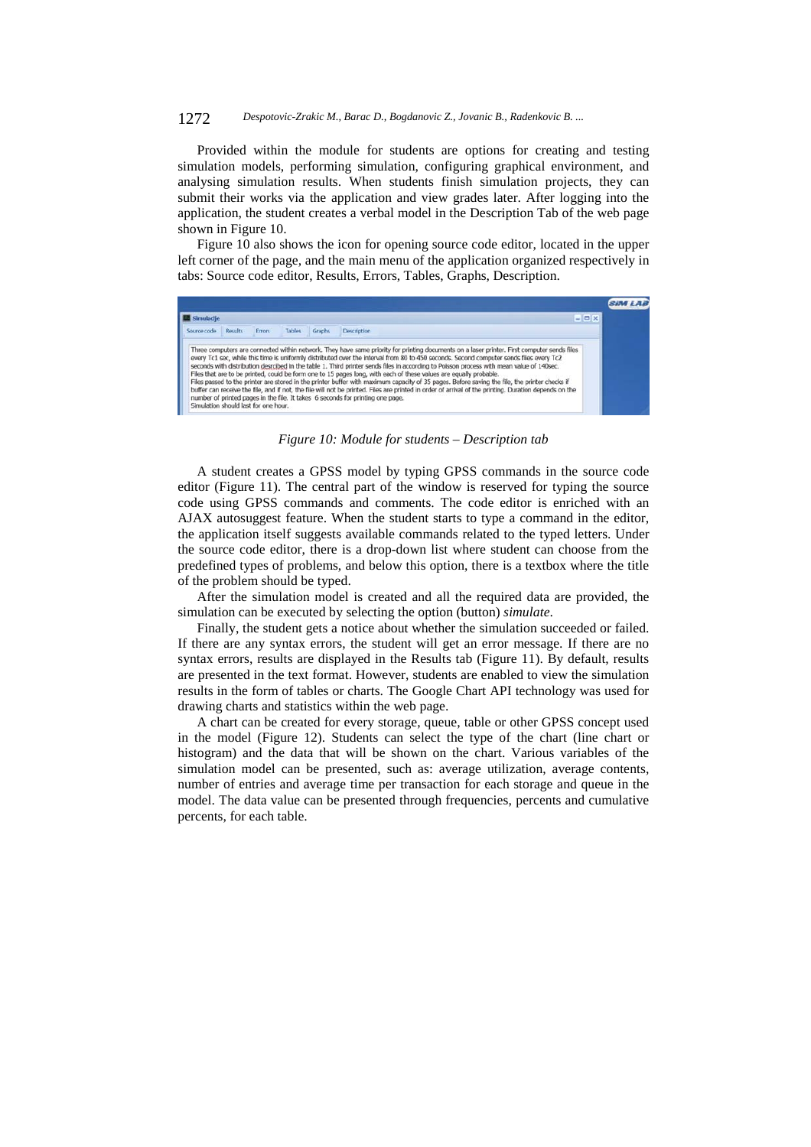#### 1272 *Despotovic-Zrakic M., Barac D., Bogdanovic Z., Jovanic B., Radenkovic B. ...*

Provided within the module for students are options for creating and testing simulation models, performing simulation, configuring graphical environment, and analysing simulation results. When students finish simulation projects, they can submit their works via the application and view grades later. After logging into the application, the student creates a verbal model in the Description Tab of the web page shown in Figure 10.

Figure 10 also shows the icon for opening source code editor, located in the upper left corner of the page, and the main menu of the application organized respectively in tabs: Source code editor, Results, Errors, Tables, Graphs, Description.

| Simulacile  |                |        |                         | $= 0 x$                                                                                                                                                                                                                                                                                                                                                                                                                                                                                                                                                                                                                                                                                                  |  |
|-------------|----------------|--------|-------------------------|----------------------------------------------------------------------------------------------------------------------------------------------------------------------------------------------------------------------------------------------------------------------------------------------------------------------------------------------------------------------------------------------------------------------------------------------------------------------------------------------------------------------------------------------------------------------------------------------------------------------------------------------------------------------------------------------------------|--|
| Source code | <b>Results</b> | Errors | <b>Tables</b><br>Graphs | Description                                                                                                                                                                                                                                                                                                                                                                                                                                                                                                                                                                                                                                                                                              |  |
|             |                |        |                         | Three computers are connected within network. They have same priority for printing documents on a laser printer. First computer sends files<br>every Tc1 sec, while this time is uniformly distributed over the interval from 80 to 450 seconds. Second computer sends files every Tc2<br>seconds with distribution desrcibed in the table 1. Third printer sends files in according to Poisson process with mean value of 140sec.<br>Files that are to be printed, could be form one to 15 pages long, with each of these values are equally probable.<br>Files passed to the printer are stored in the printer buffer with maximum capacity of 35 pages. Before saying the file, the printer checks if |  |

*Figure 10: Module for students – Description tab* 

A student creates a GPSS model by typing GPSS commands in the source code editor (Figure 11). The central part of the window is reserved for typing the source code using GPSS commands and comments. The code editor is enriched with an AJAX autosuggest feature. When the student starts to type a command in the editor, the application itself suggests available commands related to the typed letters. Under the source code editor, there is a drop-down list where student can choose from the predefined types of problems, and below this option, there is a textbox where the title of the problem should be typed.

After the simulation model is created and all the required data are provided, the simulation can be executed by selecting the option (button) *simulate*.

Finally, the student gets a notice about whether the simulation succeeded or failed. If there are any syntax errors, the student will get an error message. If there are no syntax errors, results are displayed in the Results tab (Figure 11). By default, results are presented in the text format. However, students are enabled to view the simulation results in the form of tables or charts. The Google Chart API technology was used for drawing charts and statistics within the web page.

A chart can be created for every storage, queue, table or other GPSS concept used in the model (Figure 12). Students can select the type of the chart (line chart or histogram) and the data that will be shown on the chart. Various variables of the simulation model can be presented, such as: average utilization, average contents, number of entries and average time per transaction for each storage and queue in the model. The data value can be presented through frequencies, percents and cumulative percents, for each table.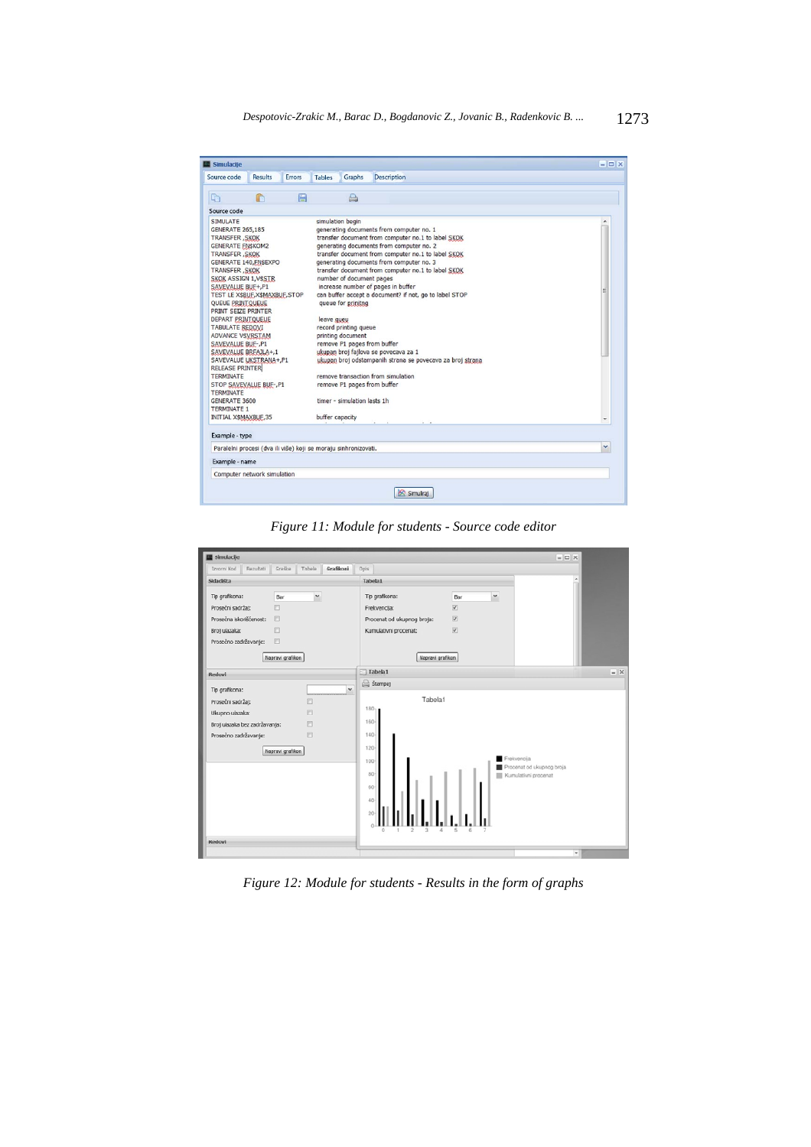| Simulacije                                                                                                                                                                                                                                                                                                                                                                                                                                                                                                                                                                                                                          |                |        |                               |                                                                                                                                                 |                                                                                                                                                                                                                                                                                                                                                                                                                                                                                                                                                                                                             | $ \Box$ $\times$ |
|-------------------------------------------------------------------------------------------------------------------------------------------------------------------------------------------------------------------------------------------------------------------------------------------------------------------------------------------------------------------------------------------------------------------------------------------------------------------------------------------------------------------------------------------------------------------------------------------------------------------------------------|----------------|--------|-------------------------------|-------------------------------------------------------------------------------------------------------------------------------------------------|-------------------------------------------------------------------------------------------------------------------------------------------------------------------------------------------------------------------------------------------------------------------------------------------------------------------------------------------------------------------------------------------------------------------------------------------------------------------------------------------------------------------------------------------------------------------------------------------------------------|------------------|
| Source code                                                                                                                                                                                                                                                                                                                                                                                                                                                                                                                                                                                                                         | <b>Results</b> | Errors | <b>Tables</b>                 | Graphs                                                                                                                                          | <b>Description</b>                                                                                                                                                                                                                                                                                                                                                                                                                                                                                                                                                                                          |                  |
| $\Box$                                                                                                                                                                                                                                                                                                                                                                                                                                                                                                                                                                                                                              | r              | E      |                               | a                                                                                                                                               |                                                                                                                                                                                                                                                                                                                                                                                                                                                                                                                                                                                                             |                  |
| Source code                                                                                                                                                                                                                                                                                                                                                                                                                                                                                                                                                                                                                         |                |        |                               |                                                                                                                                                 |                                                                                                                                                                                                                                                                                                                                                                                                                                                                                                                                                                                                             |                  |
| <b>SIMULATE</b><br><b>GENERATE 265,185</b><br><b>TRANSFER, SKOK</b><br><b>GENERATE FN\$KOM2</b><br><b>TRANSFER, SKOK</b><br>GENERATE 140, EN\$EXPO<br><b>TRANSFER, SKOK</b><br><b>SKOK ASSIGN 1, VSSTR</b><br>SAVEVALUE BUF+,P1<br>TEST LE X\$BUF, X\$MAXBUF, STOP<br>QUEUE PRINTQUEUE<br>PRINT SEIZE PRINTER<br>DEPART PRINTQUEUE<br><b>TABULATE REDOVI</b><br><b>ADVANCE VSVRSTAM</b><br>SAVEVALUE BUF-, P1<br>SAVEVALUE BREAJLA+,1<br>SAVEVALUE UKSTRANA+, P1<br><b>RELEASE PRINTER</b><br><b>TERMINATE</b><br>STOP SAVEVALUE BUF-, P1<br><b>TERMINATE</b><br>GENERATE 3600<br><b>TERMINATE 1</b><br><b>INITIAL X\$MAXBUF,35</b> |                |        | leave queu<br>buffer capacity | simulation begin<br>number of document pages<br>queue for prinitng<br>record printing queue<br>printing document<br>timer - simulation lasts 1h | generating documents from computer no. 1<br>transfer document from computer no.1 to label SKOK<br>generating documents from computer no. 2<br>transfer document from computer no.1 to label SKOK<br>generating documents from computer no. 3<br>transfer document from computer no.1 to label SKOK<br>increase number of pages in buffer<br>can buffer accept a document? if not, go to label STOP<br>remove P1 pages from buffer<br>ukupan broj fajlova se povecava za 1<br>ukupan broj odstampanih strana se povecava za broj strana<br>remove transaction from simulation<br>remove P1 pages from buffer |                  |
| Example - type                                                                                                                                                                                                                                                                                                                                                                                                                                                                                                                                                                                                                      |                |        |                               |                                                                                                                                                 |                                                                                                                                                                                                                                                                                                                                                                                                                                                                                                                                                                                                             |                  |
| Paralelni procesi (dva ili više) koji se moraju sinhronizovati.                                                                                                                                                                                                                                                                                                                                                                                                                                                                                                                                                                     |                |        |                               |                                                                                                                                                 |                                                                                                                                                                                                                                                                                                                                                                                                                                                                                                                                                                                                             | v                |
| Example - name                                                                                                                                                                                                                                                                                                                                                                                                                                                                                                                                                                                                                      |                |        |                               |                                                                                                                                                 |                                                                                                                                                                                                                                                                                                                                                                                                                                                                                                                                                                                                             |                  |
| Computer network simulation                                                                                                                                                                                                                                                                                                                                                                                                                                                                                                                                                                                                         |                |        |                               |                                                                                                                                                 |                                                                                                                                                                                                                                                                                                                                                                                                                                                                                                                                                                                                             |                  |
|                                                                                                                                                                                                                                                                                                                                                                                                                                                                                                                                                                                                                                     |                |        |                               |                                                                                                                                                 | Simulirai                                                                                                                                                                                                                                                                                                                                                                                                                                                                                                                                                                                                   |                  |
|                                                                                                                                                                                                                                                                                                                                                                                                                                                                                                                                                                                                                                     |                |        |                               |                                                                                                                                                 |                                                                                                                                                                                                                                                                                                                                                                                                                                                                                                                                                                                                             |                  |

*Figure 11: Module for students - Source code editor* 



*Figure 12: Module for students - Results in the form of graphs*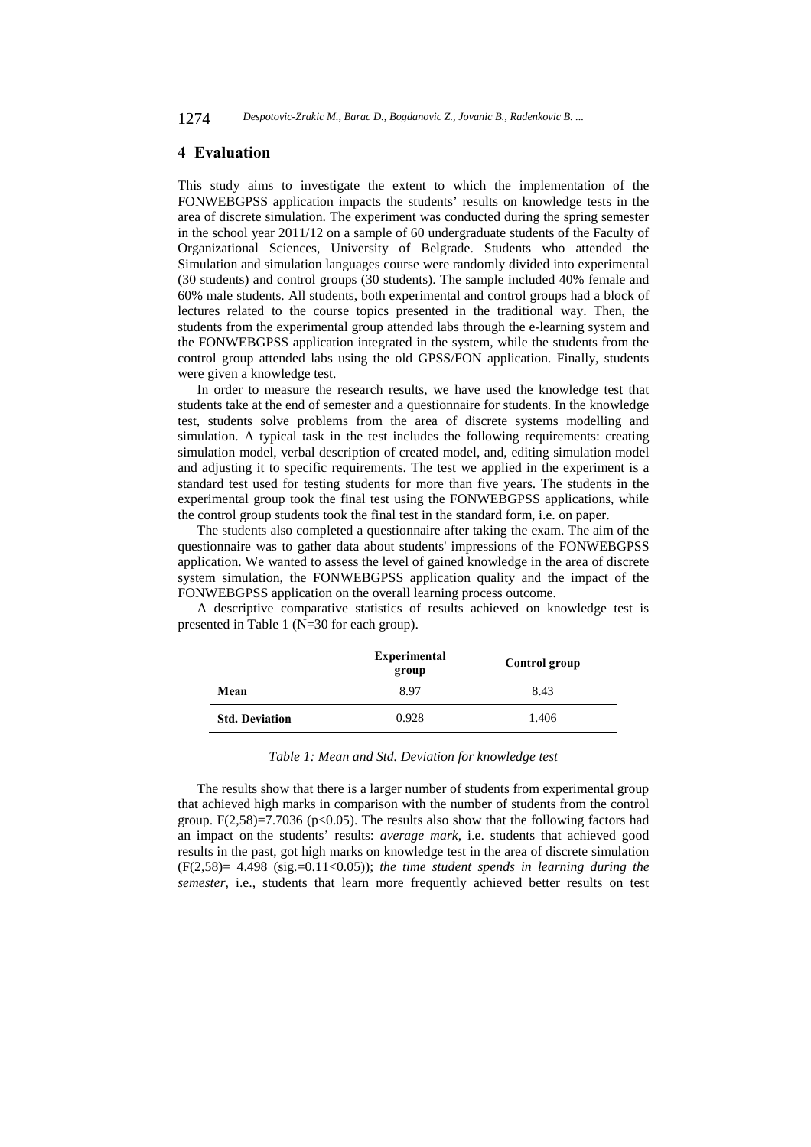### **4 Evaluation**

This study aims to investigate the extent to which the implementation of the FONWEBGPSS application impacts the students' results on knowledge tests in the area of discrete simulation. The experiment was conducted during the spring semester in the school year 2011/12 on a sample of 60 undergraduate students of the Faculty of Organizational Sciences, University of Belgrade. Students who attended the Simulation and simulation languages course were randomly divided into experimental (30 students) and control groups (30 students). The sample included 40% female and 60% male students. All students, both experimental and control groups had a block of lectures related to the course topics presented in the traditional way. Then, the students from the experimental group attended labs through the e-learning system and the FONWEBGPSS application integrated in the system, while the students from the control group attended labs using the old GPSS/FON application. Finally, students were given a knowledge test.

In order to measure the research results, we have used the knowledge test that students take at the end of semester and a questionnaire for students. In the knowledge test, students solve problems from the area of discrete systems modelling and simulation. A typical task in the test includes the following requirements: creating simulation model, verbal description of created model, and, editing simulation model and adjusting it to specific requirements. The test we applied in the experiment is a standard test used for testing students for more than five years. The students in the experimental group took the final test using the FONWEBGPSS applications, while the control group students took the final test in the standard form, i.e. on paper.

The students also completed a questionnaire after taking the exam. The aim of the questionnaire was to gather data about students' impressions of the FONWEBGPSS application. We wanted to assess the level of gained knowledge in the area of discrete system simulation, the FONWEBGPSS application quality and the impact of the FONWEBGPSS application on the overall learning process outcome.

A descriptive comparative statistics of results achieved on knowledge test is presented in Table 1 (N=30 for each group).

|                       | <b>Experimental</b><br>group | Control group |
|-----------------------|------------------------------|---------------|
| Mean                  | 8.97                         | 8.43          |
| <b>Std. Deviation</b> | 0.928                        | 1.406         |

*Table 1: Mean and Std. Deviation for knowledge test* 

The results show that there is a larger number of students from experimental group that achieved high marks in comparison with the number of students from the control group.  $F(2,58)=7.7036$  (p<0.05). The results also show that the following factors had an impact on the students' results: *average mark*, i.e. students that achieved good results in the past, got high marks on knowledge test in the area of discrete simulation (F(2,58)= 4.498 (sig.=0.11<0.05)); *the time student spends in learning during the semester,* i.e., students that learn more frequently achieved better results on test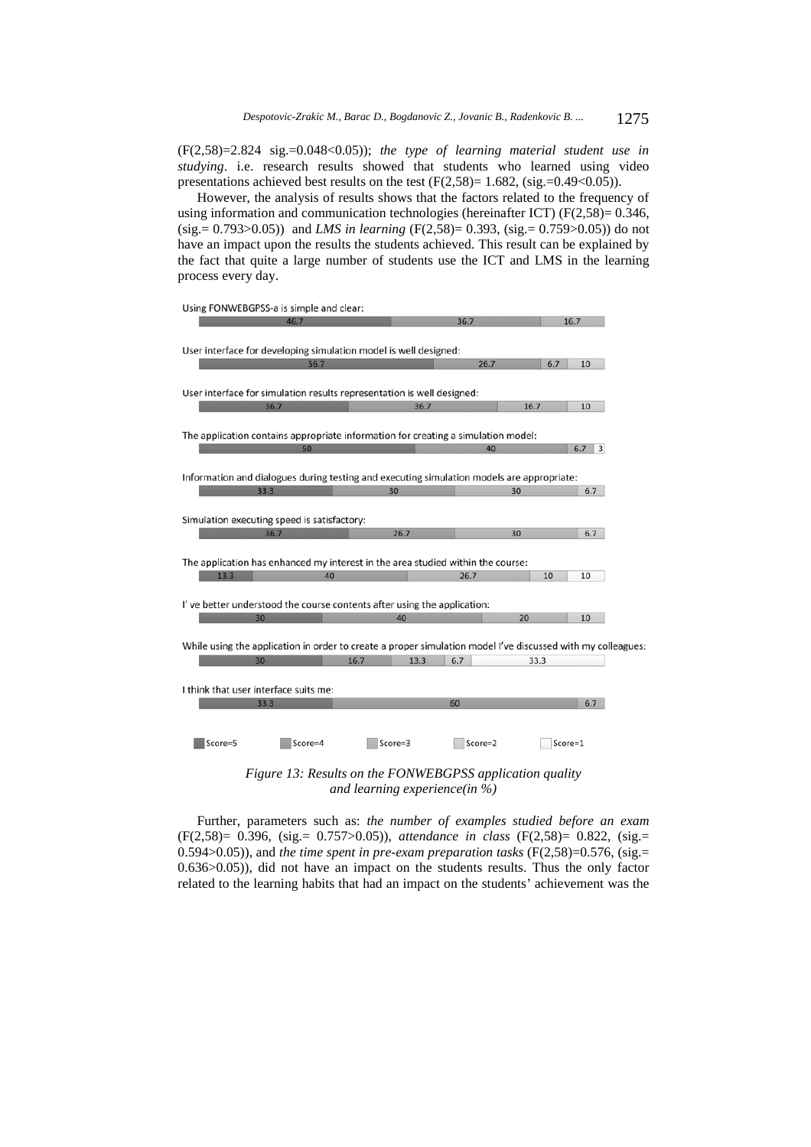(F(2,58)=2.824 sig.=0.048<0.05)); *the type of learning material student use in studying*. i.e. research results showed that students who learned using video presentations achieved best results on the test  $(F(2,58)=1.682, (sig.=0.49<0.05))$ .

However, the analysis of results shows that the factors related to the frequency of using information and communication technologies (hereinafter ICT) (F(2,58)= 0.346, (sig.= 0.793>0.05)) and *LMS in learning* (F(2,58)= 0.393, (sig.= 0.759>0.05)) do not have an impact upon the results the students achieved. This result can be explained by the fact that quite a large number of students use the ICT and LMS in the learning process every day.



*and learning experience(in %)* 

Further, parameters such as: *the number of examples studied before an exam* (F(2,58)= 0.396, (sig.= 0.757>0.05)), *attendance in class* (F(2,58)= 0.822, (sig.= 0.594 $>0.05$ )), and *the time spent in pre-exam preparation tasks* ( $F(2,58)=0.576$ , ( $sig=$ 0.636>0.05)), did not have an impact on the students results. Thus the only factor related to the learning habits that had an impact on the students' achievement was the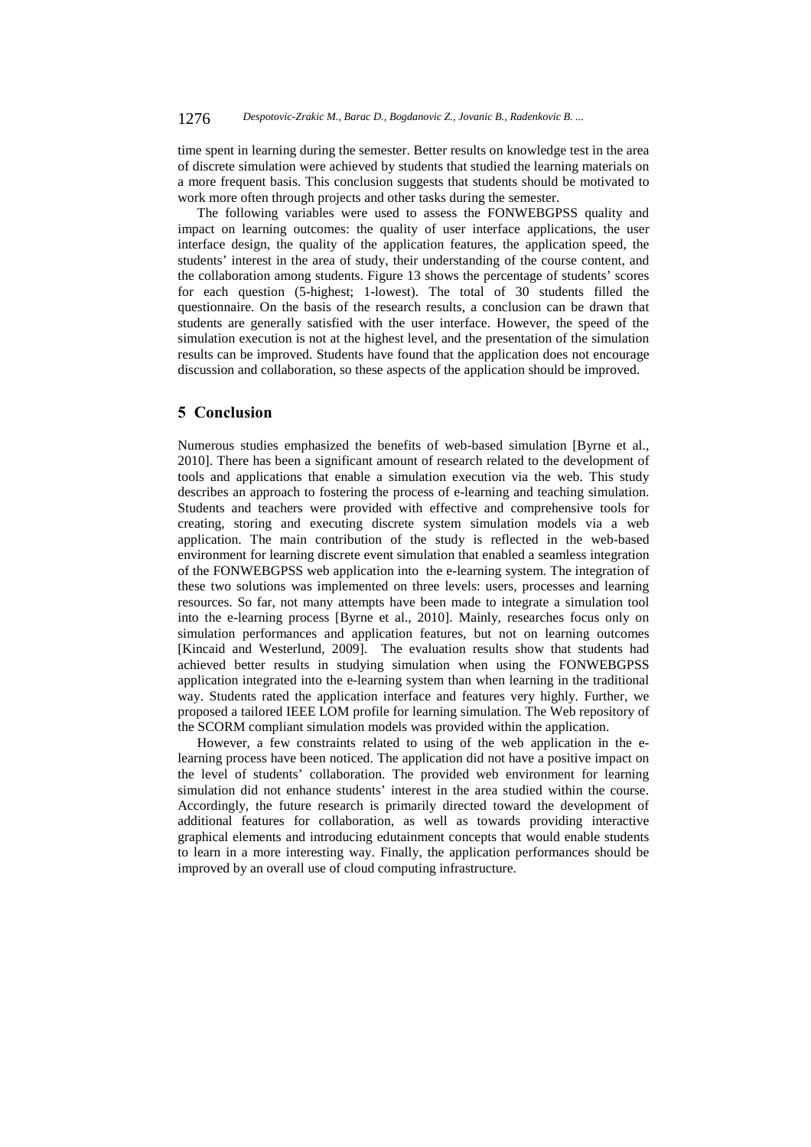time spent in learning during the semester. Better results on knowledge test in the area of discrete simulation were achieved by students that studied the learning materials on a more frequent basis. This conclusion suggests that students should be motivated to work more often through projects and other tasks during the semester.

The following variables were used to assess the FONWEBGPSS quality and impact on learning outcomes: the quality of user interface applications, the user interface design, the quality of the application features, the application speed, the students' interest in the area of study, their understanding of the course content, and the collaboration among students. Figure 13 shows the percentage of students' scores for each question (5-highest; 1-lowest). The total of 30 students filled the questionnaire. On the basis of the research results, a conclusion can be drawn that students are generally satisfied with the user interface. However, the speed of the simulation execution is not at the highest level, and the presentation of the simulation results can be improved. Students have found that the application does not encourage discussion and collaboration, so these aspects of the application should be improved.

# **5 Conclusion**

Numerous studies emphasized the benefits of web-based simulation [Byrne et al., 2010]. There has been a significant amount of research related to the development of tools and applications that enable a simulation execution via the web. This study describes an approach to fostering the process of e-learning and teaching simulation. Students and teachers were provided with effective and comprehensive tools for creating, storing and executing discrete system simulation models via a web application. The main contribution of the study is reflected in the web-based environment for learning discrete event simulation that enabled a seamless integration of the FONWEBGPSS web application into the e-learning system. The integration of these two solutions was implemented on three levels: users, processes and learning resources. So far, not many attempts have been made to integrate a simulation tool into the e-learning process [Byrne et al., 2010]. Mainly, researches focus only on simulation performances and application features, but not on learning outcomes [Kincaid and Westerlund, 2009]. The evaluation results show that students had achieved better results in studying simulation when using the FONWEBGPSS application integrated into the e-learning system than when learning in the traditional way. Students rated the application interface and features very highly. Further, we proposed a tailored IEEE LOM profile for learning simulation. The Web repository of the SCORM compliant simulation models was provided within the application.

However, a few constraints related to using of the web application in the elearning process have been noticed. The application did not have a positive impact on the level of students' collaboration. The provided web environment for learning simulation did not enhance students' interest in the area studied within the course. Accordingly, the future research is primarily directed toward the development of additional features for collaboration, as well as towards providing interactive graphical elements and introducing edutainment concepts that would enable students to learn in a more interesting way. Finally, the application performances should be improved by an overall use of cloud computing infrastructure.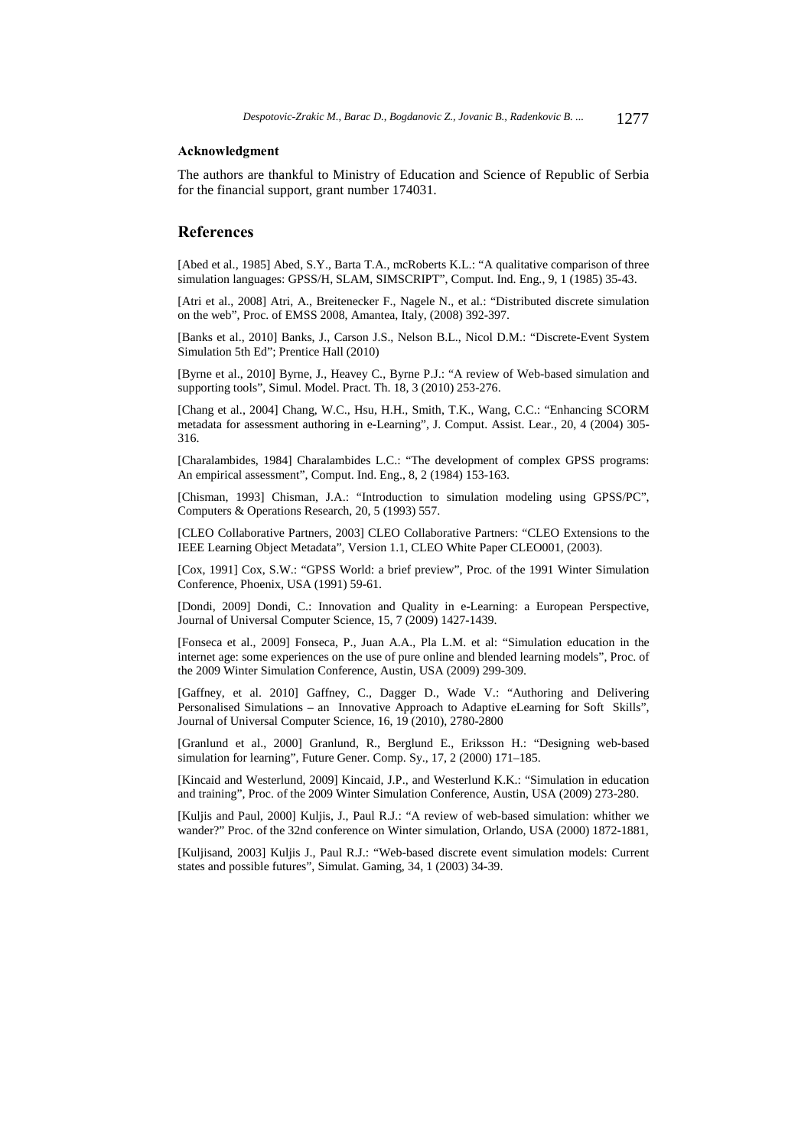# **Acknowledgment**

The authors are thankful to Ministry of Education and Science of Republic of Serbia for the financial support, grant number 174031.

# **References**

[Abed et al., 1985] Abed, S.Y., Barta T.A., mcRoberts K.L.: "A qualitative comparison of three simulation languages: GPSS/H, SLAM, SIMSCRIPT", Comput. Ind. Eng., 9, 1 (1985) 35-43.

[Atri et al., 2008] Atri, A., Breitenecker F., Nagele N., et al.: "Distributed discrete simulation on the web", Proc. of EMSS 2008, Amantea, Italy, (2008) 392-397.

[Banks et al., 2010] Banks, J., Carson J.S., Nelson B.L., Nicol D.M.: "Discrete-Event System Simulation 5th Ed"; Prentice Hall (2010)

[Byrne et al., 2010] Byrne, J., Heavey C., Byrne P.J.: "A review of Web-based simulation and supporting tools", Simul. Model. Pract. Th. 18, 3 (2010) 253-276.

[Chang et al., 2004] Chang, W.C., Hsu, H.H., Smith, T.K., Wang, C.C.: "Enhancing SCORM metadata for assessment authoring in e-Learning", J. Comput. Assist. Lear., 20, 4 (2004) 305- 316.

[Charalambides, 1984] Charalambides L.C.: "The development of complex GPSS programs: An empirical assessment", Comput. Ind. Eng., 8, 2 (1984) 153-163.

[Chisman, 1993] Chisman, J.A.: "Introduction to simulation modeling using GPSS/PC", Computers & Operations Research, 20, 5 (1993) 557.

[CLEO Collaborative Partners, 2003] CLEO Collaborative Partners: "CLEO Extensions to the IEEE Learning Object Metadata", Version 1.1, CLEO White Paper CLEO001, (2003).

[Cox, 1991] Cox, S.W.: "GPSS World: a brief preview", Proc. of the 1991 Winter Simulation Conference, Phoenix, USA (1991) 59-61.

[Dondi, 2009] Dondi, C.: Innovation and Quality in e-Learning: a European Perspective, Journal of Universal Computer Science, 15, 7 (2009) 1427-1439.

[Fonseca et al., 2009] Fonseca, P., Juan A.A., Pla L.M. et al: "Simulation education in the internet age: some experiences on the use of pure online and blended learning models", Proc. of the 2009 Winter Simulation Conference, Austin, USA (2009) 299-309.

[Gaffney, et al. 2010] Gaffney, C., Dagger D., Wade V.: "Authoring and Delivering Personalised Simulations – an Innovative Approach to Adaptive eLearning for Soft Skills", Journal of Universal Computer Science, 16, 19 (2010), 2780-2800

[Granlund et al., 2000] Granlund, R., Berglund E., Eriksson H.: "Designing web-based simulation for learning", Future Gener. Comp. Sy., 17, 2 (2000) 171–185.

[Kincaid and Westerlund, 2009] Kincaid, J.P., and Westerlund K.K.: "Simulation in education and training", Proc. of the 2009 Winter Simulation Conference, Austin, USA (2009) 273-280.

[Kuljis and Paul, 2000] Kuljis, J., Paul R.J.: "A review of web-based simulation: whither we wander?" Proc. of the 32nd conference on Winter simulation, Orlando, USA (2000) 1872-1881,

[Kuljisand, 2003] Kuljis J., Paul R.J.: "Web-based discrete event simulation models: Current states and possible futures", Simulat. Gaming, 34, 1 (2003) 34-39.